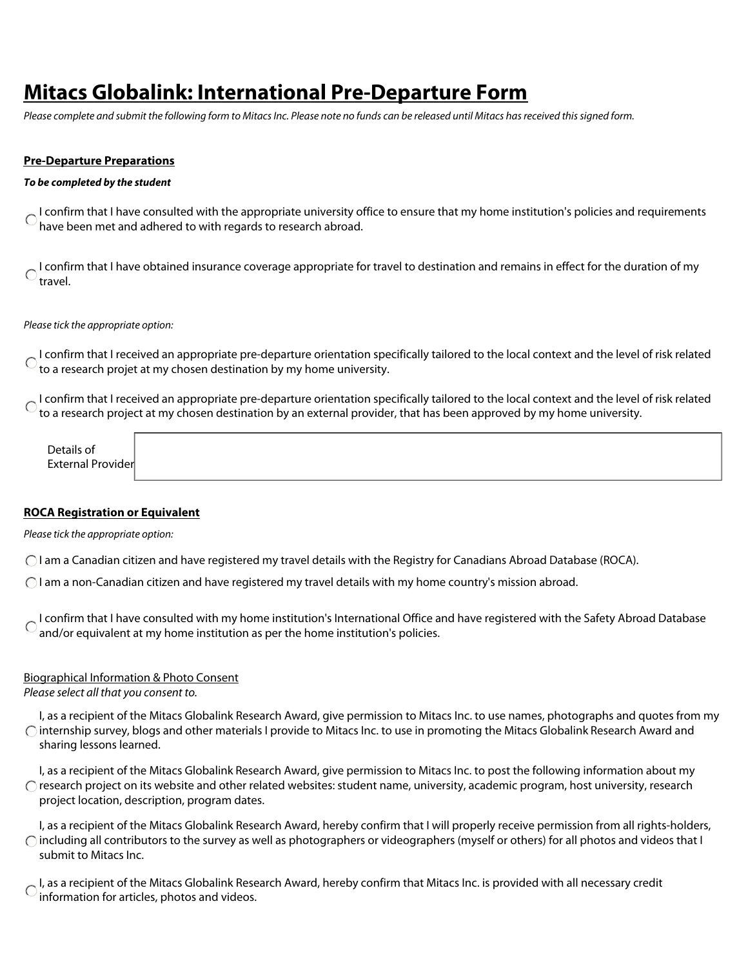# **Mitacs Globalink: International Pre-Departure Form**

*Please complete and submit the following form to Mitacs Inc. Please note no funds can be released until Mitacs has received this signed form.*

## **Pre-Departure Preparations**

## *To be completed by the student*

I confirm that I have consulted with the appropriate university office to ensure that my home institution's policies and requirements have been met and adhered to with regards to research abroad.

I confirm that I have obtained insurance coverage appropriate for travel to destination and remains in effect for the duration of my travel.

*Please tick the appropriate option:*

I confirm that I received an appropriate pre-departure orientation specifically tailored to the local context and the level of risk related to a research projet at my chosen destination by my home university.

I confirm that I received an appropriate pre-departure orientation specifically tailored to the local context and the level of risk related to a research project at my chosen destination by an external provider, that has been approved by my home university.

Details of External Provider

## **ROCA Registration or Equivalent**

*Please tick the appropriate option:*

I am a Canadian citizen and have registered my travel details with the Registry for Canadians Abroad Database (ROCA).

I am a non-Canadian citizen and have registered my travel details with my home country's mission abroad.

**I confirm that I have consulted with my home institution's International Office and have registered with the Safety Abroad Database** and/or equivalent at my home institution as per the home institution's policies.

# Biographical Information & Photo Consent

*Please select all that you consent to.*

I, as a recipient of the Mitacs Globalink Research Award, give permission to Mitacs Inc. to use names, photographs and quotes from my  $\bigcap$  internship survey, blogs and other materials I provide to Mitacs Inc. to use in promoting the Mitacs Globalink Research Award and sharing lessons learned.

I, as a recipient of the Mitacs Globalink Research Award, give permission to Mitacs Inc. to post the following information about my  $\bigcirc$  research project on its website and other related websites: student name, university, academic program, host university, research project location, description, program dates.

I, as a recipient of the Mitacs Globalink Research Award, hereby confirm that I will properly receive permission from all rights-holders,  $\bigcap$  including all contributors to the survey as well as photographers or videographers (myself or others) for all photos and videos that I submit to Mitacs Inc.

I, as a recipient of the Mitacs Globalink Research Award, hereby confirm that Mitacs Inc. is provided with all necessary credit information for articles, photos and videos.